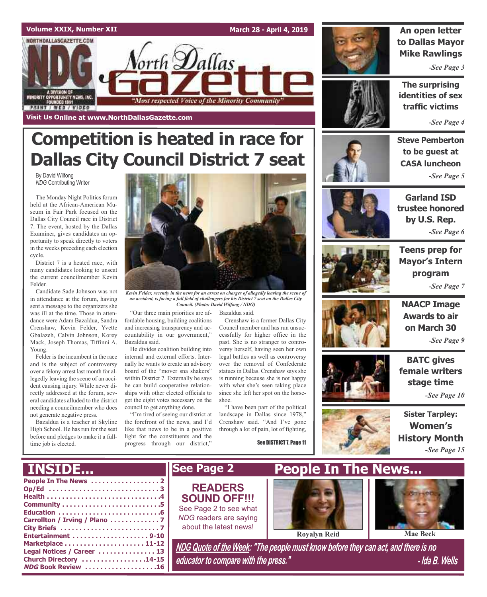

# **Competition is heated in race for Dallas City Council District 7 seat**

By David Wilfong *NDG* Contributing Writer

The Monday Night Politics forum held at the African-American Museum in Fair Park focused on the Dallas City Council race in District 7. The event, hosted by the Dallas Examiner, gives candidates an opportunity to speak directly to voters in the weeks preceding each election cycle.

District 7 is a heated race, with many candidates looking to unseat the current councilmember Kevin Felder.

Candidate Sade Johnson was not in attendance at the forum, having sent a message to the organizers she was ill at the time. Those in attendance were Adam Bazaldua, Sandra Crenshaw, Kevin Felder, Yvette Gbalazeh, Calvin Johnson, Korey Mack, Joseph Thomas, Tiffinni A. Young.

Felder is the incumbent in the race and is the subject of controversy over a felony arrest last month for allegedly leaving the scene of an accident causing injury. While never directly addressed at the forum, several candidates alluded to the district needing a councilmember who does not generate negative press.

Bazaldua is a teacher at Skyline High School. He has run for the seat before and pledges to make it a fulltime job is elected.

**NDG Book Review . . . . . . . . . . . . . . . . . . .16**



*Kevin Felder, recently in the news for an arrest on charges of allegedly leaving the scene of an accident, is facing a full field of challengers for his District 7 seat on the Dallas City Council. (Photo: David Wilfong / NDG)*

"Our three main priorities are af-Bazaldua said. fordable housing, building coalitions and increasing transparency and accountability in our government,"

Bazaldua said. He divides coalition building into internal and external efforts. Internally he wants to create an advisory board of the "mover sna shakers" within District 7. Externally he says he can build cooperative relationships with other elected officials to get the eight votes necessary on the council to get anything done.

"I'm tired of seeing our district at the forefront of the news, and I'd like that news to be in a positive light for the constituents and the progress through our district,"

Crenshaw is a former Dallas City Council member and has run unsuccessfully for higher office in the past. She is no stranger to controversy herself, having seen her own legal battles as well as controversy over the removal of Confederate statues in Dallas. Crenshaw says she is running because she is not happy with what she's seen taking place since she left her spot on the horseshoe.

"I have been part of the political landscape in Dallas since 1978," Crenshaw said. "And I've gone through a lot of pain, lot of fighting,

See DISTRICT 7, Page 11



## **An open letter to Dallas Mayor Mike Rawlings**

*-See Page 3*

**The surprising identities of sex traffic victims**

*-See Page 4*

**Steve Pemberton to be guest at CASA luncheon** *-See Page 5*



**Garland ISD trustee honored by U.S. Rep.** *-See Page 6*



**Teens prep for Mayor's Intern program** *-See Page 7*







**BATC gives female writers stage time**

*-See Page 10*

**Sister Tarpley: Women's History Month** *-See Page 15*



*educator to compare with the press." - Ida B. Wells*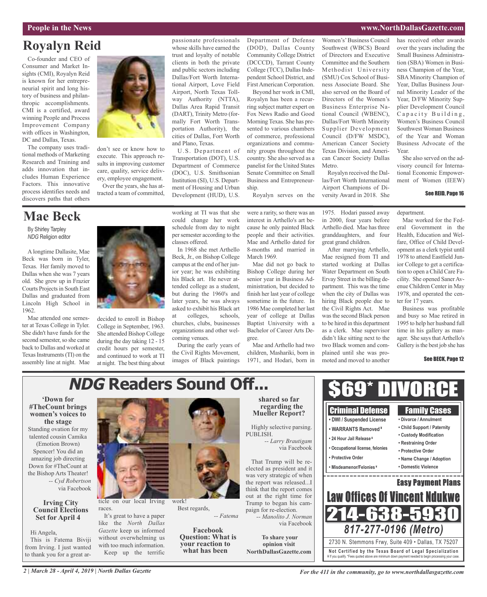## **People in the News www.NorthDallasGazette.com**

# **Royalyn Reid**

Co-founder and CEO of Consumer and Market Insights (CMI), Royalyn Reid is known for her entrepreneurial spirit and long history of business and philanthropic accomplishments. CMI is a certified, award winning People and Process Improvement Company with offices in Washington, DC and Dallas, Texas.

The company uses traditional methods of Marketing Research and Training and adds innovation that includes Human Experience Factors. This innovative process identifies needs and discovers paths that others

# **Mae Beck**

By Shirley Tarpley *NDG* Religion editor

A longtime Dallasite, Mae Beck was born in Tyler, Texas. Her family moved to Dallas when she was 7 years old. She grew up in Frazier Courts Projects in South East Dallas and graduated from Lincoln High School in 1962.

Mae attended one semester at Texas College in Tyler. She didn't have funds for the second semester, so she came back to Dallas and worked at Texas Instruments (TI) on the assembly line at night. Mae



don't see or know how to execute. This approach results in improving customer care, quality, service delivery, employee engagement.

Over the years, she has attracted a team of committed,

decided to enroll in Bishop College in September, 1963. She attended Bishop College during the day taking 12 - 15 credit hours per semester, and continued to work at TI at night. The best thing about passionate professionals whose skills have earned the trust and loyalty of notable clients in both the private and public sectors including Dallas/Fort Worth International Airport, Love Field Airport, North Texas Tollway Authority (NTTA), Dallas Area Rapid Transit (DART), Trinity Metro (formally Fort Worth Transportation Authority), the cities of Dallas, Fort Worth and Plano, Texas.

U.S. Department of Transportation (DOT), U.S. Department of Commerce (DOC), U.S. Smithsonian Institution (SI), U.S. Department of Housing and Urban Development (HUD), U.S.

working at TI was that she could change her work schedule from day to night per semester according to the

In 1968 she met Arthello Beck, Jr., on Bishop College campus at the end of her junior year; he was exhibiting his Black art. He never attended college as a student, but during the 1960's and later years, he was always asked to exhibit his Black art at colleges, schools, churches, clubs, businesses organizations and other wel-

classes offered.

coming venues.

During the early years of the Civil Rights Movement, images of Black paintings

Department of Defense (DOD), Dallas County Community College District (DCCCD), Tarrant County College (TCC), Dallas Independent School District, and FirstAmerican Corporation.

Beyond her work in CMI, Royalyn has been a recurring subject matter expert on Fox News Radio and Good Morning Texas. She has presented to various chambers of commerce, professional organizations and community groups throughout the country. She also served as a panelist for the United States Senate Committee on Small Business and Entrepreneurship.

Royalyn serves on the

were a rarity, so there was an interest in Arthello's art because he only painted Black people and their activities. Mae and Arthello dated for 8-months and married in March 1969.

Mae did not go back to Bishop College during her senior year in Business Administration, but decided to finish her last year of college sometime in the future. In 1986 Mae completed her last year of college at Dallas Baptist University with a Bachelor of Career Arts Degree.

Mae and Arthello had two children, Mashariki, born in 1971, and Hodari, born in

Women's'Business Council Southwest (WBCS) Board of Directors and Executive Committee and the Southern Methodist University (SMU) Cox School of Business Associate Board. She also served on the Board of Directors of the Women's Business Enterprise National Council (WBENC), Dallas/Fort Worth Minority Supplier Development Council (D/FW MSDC), American Cancer Society Texas Division, and American Cancer Society Dallas Metro.

Royalyn received the Dallas/Fort Worth International Airport Champions of Diversity Award in 2018. She

1975. Hodari passed away in 2000, four years before Arthello died. Mae has three granddaughters, and four great grand children.

After marrying Arthello, Mae resigned from TI and started working at Dallas Water Department on South Ervay Street in the billing department. This was the time when the city of Dallas was hiring Black people due to the Civil Rights Act. Mae wasthe second Black person to be hired in this department as a clerk. Mae supervisor didn't like sitting next to the two Black women and complained until she was promoted and moved to another

has received other awards over the years including the Small Business Administration (SBA) Women in Business Champion of the Year, SBA Minority Champion of Year, Dallas Business Journal Minority Leader of the Year, D/FW Minority Supplier Development Council Capacity Building, Women's Business Council Southwest Woman Business of the Year and Woman Business Advocate of the Year.

She also served on the advisory council for International Economic Empowerment of Women (IEEW)

## See REID, Page 16

department.

Mae worked for the Federal Government in the Health, Education and Welfare, Office of Child Development as a clerk typist until 1978 to attend Eastfield Junior College to get a certification to open a Child Care Facility. She opened Saner Avenue Children Center in May 1978, and operated the center for 17 years.

Business was profitable and busy so Mae retired in 1995 to help her husband full time in his gallery as manager. She says that Arthello's Gallery is the best job she has

#### See BECK, Page 12

#### **'Down for #TheCount brings women's voices to the stage** Standing ovation for my talented cousin Camika (Emotion Brown) Spencer! You did an amazing job directing Down for #TheCount at the Bishop Arts Theater! *-- Cyd Robertson* via Facebook **Irving City Council Elections Set for April 4** Hi Angela, This is Fatema Biviji from Irving. I just wanted to thank you for a great article on our local Irving races. It's great to have a paper like the *North Dallas Gazette* keep us informed without overwhelming us with too much information. work! Best regards, *-- Fatema* **Facebook Question: What is your reaction to what has been shared so far regarding the Mueller Report?** Highly selective parsing. PUBLISH. *-- Larry Brautigam* via Facebook That Trump will be reelected as president and it was very strategic of when the report was released...I think that the report comes out at the right time for Trump to began his campaign for re-election. *-- Manolito J. Norman* via Facebook **To share your opinion visit NorthDallasGazette.com Not Ce rtified by the Te x a s Boa rd of Lega l Spe c ia l i za tion** 2730 N. Stemmons Frwy, Suite 409 • Dallas, TX 75207 *817-277-0196 (Metro)* \$69\* DIVORCE Family Cases **• Divorce / Annulment • Child Support / Paternity • Custody Modification • Restraining Order • Protective Order • Name Change / Adoption • Domestic Violence** Criminal Defense **• DWI / Suspended License • WARRANTS Removed ¥ • 24 Hour Jail Release ¥ • Occupational license, felonies • Protective Order • Misdeamenor/Felonies ¥** Easy Payment Plans 758 Law Offices Of Vincent Ndu **NDG Readers Sound Off...**

## *2 | March 28 - April 4, 2019 | North Dallas Gazette*

Keep up the terrific

# ¥ If you qualify. \*Fees quoted above are minimum down payment needed to begin processing your case.

*For the 411 in the community, go to www.northdallasgazette.com*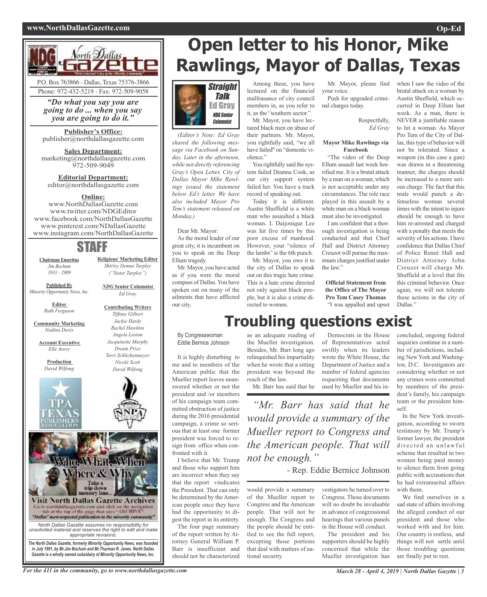## **www.NorthDallasGazette.com Op-Ed**



*"Do what you say you are going to do ... when you say you are going to do it."*

**Publisher's Office:** publisher@northdallasgazette.com

**Sales Department:** marketing@northdallasgazette.com 972-509-9049

**Editorial Department:** editor@northdallasgazette.com

## **Online:**

www.NorthDallasGazette.com www.twitter.com/NDGEditor www.facebook.com/NorthDallasGazette www.pinterest.com/NDallasGazette www.instagram.com/NorthDallasGazette

## STAFF

**Religious/ Marketing Editor** *Shirley Demus Tarpley ("Sister Tarpley")*

*NDG* **Senior Columnist** *Ed Gray*

**Contributing Writers** *Tiffany Gilbert Jackie Hardy Rachel Hawkins Angela Loston Jacquinette Murphy Dwain Price Terri Schlichenmeyer Nicole Scott David Wilfong*

**Chairman Emeritus** *Jim Bochum 1933 – 2009*

**Published By**

*Minority Opportunity News, Inc.*

**Editor** *Ruth Ferguson*

**Community Marketing** *Nadina Davis*

**Account Executive** *Elle Avery*

> **Production** *David Wilfong*





*in July 1991, by Mr.Jim Bochum and Mr.Thurman R. Jones. North Dallas Gazette is a wholly owned subsidairy of Minority Opportunity News, Inc.*

# **Open letter to his Honor, Mike Rawlings, Mayor of Dallas, Texas**



*(Editor's Note: Ed Gray shared the following message via Facebook on Sunday. Later in the afternoon, while not directly referencing Gray's Open Letter, City of Dallas Mayor Mike Rawlings issued the statement below Ed's letter. We have also included Mayor Pro Tem's statement released on Monday.)*

Dear Mr. Mayor:

As the moral leader of our great city, it is incumbent on you to speak on the Deep Ellum tragedy.

Mr. Mayor, you have acted as if you were the moral compass of Dallas. You have spoken out on many of the ailments that have afflicted our city.

Among these, you have lectured on the financial malfeasance of city council members in, as you refer to it, as the "southern sector."

Mr. Mayor, you have lectured black men on abuse of their partners. Mr. Mayor, you rightfully said, "we all have failed" on "domestic violence."

You rightfully said the system failed Deanna Cook, as our city support system failed her. You have a track record of speaking out.

Today it is different. Austin Shuffield is a white man who assaulted a black woman. L Daijonique Lee was hit five times by this poor excuse of manhood. However, your "silence of the lambs" is the 6th punch. Mr. Mayor, you owe it to

the city of Dallas to speak out on this tragic hate crime. This is a hate crime directed not only against black people, but it is also a crime directed to women.

Mr. Mayor, please find your voice.

Push for upgraded criminal charges today.

> Respectfully, *Ed Gray*

### **Mayor Mike Rawlings via Facebook**

"The video of the Deep Ellum assault last week horrified me. It is a brutal attack by a man on a woman, which is not acceptable under any circumstances. The role race played in this assault by a white man on a black woman must also be investigated.

I am confident that a thorough investigation is being conducted and that Chief Hall and District Attorney Creuzot will pursue the maximum charges justified under the law."

## **Official Statement from the Office of The Mayor Pro Tem Casey Thomas** "I was appalled and upset

brutal attack on a woman by Austin Shuffield, which occurred in Deep Ellum last week. As a man, there is NEVER a justifiable reason to hit a woman. As Mayor Pro Tem of the City of Dallas, this type of behavior will not be tolerated. Since a weapon (in this case a gun) was drawn in a threatening manner, the charges should be increased to a more serious charge. The fact that this male would punch a defenseless woman several times with the intent to injure should be enough to have him re-arrested and charged with a penalty that meets the severity of his actions. I have confidence that Dallas Chief of Police Reneé Hall and District Attorney John Creuzot will charge Mr. Shuffield at a level that fits this criminal behavior. Once again, we will not tolerate these actions in the city of Dallas."

when I saw the video of the

# **Troubling questions exist**

By Congresswoman Eddie Bernice Johnson

It is highly disturbing to me and to members of the American public that the Mueller report leaves unanswered whether or not the president and /or members of his campaign team committed obstruction of justice during the 2016 presidential campaign, a crime so serious that at least one former president was forced to resign from office when confronted with it.

I believe that Mr. Trump and those who support him are incorrect when they say that the report vindicates the President. That can only be determined by the American people once they have had the opportunity to digest the report in its entirety.

The four page summary of the report written by Attorney General William P. Barr is insufficient and should not be characterized

the Mueller investigation. Besides, Mr. Barr long ago relinquished his impartiality when he wrote that a sitting president was beyond the Mr. Barr has said that he

would provide a summary of the Mueller report to Congress and the American people. That will not be enough. The Congress and the people should be entitled to see the full report, excepting those portions that deal with matters of na-

tional security.

Democrats in the House of Representatives acted swiftly when its leaders wrote the White House, the Department of Justice and a number of federal agencies requesting that documents used by Mueller and his in-

*"Mr. Barr has said that he would provide a summary of the Mueller report to Congress and the American people. That will not be enough."*

- Rep. Eddie Bernice Johnson

vestigators be turned over to Congress. Those documents will no doubt be invaluable in advance of congressional hearings that various panels in the House will conduct.

The president and his supporters should be highly concerned that while the Mueller investigation has

concluded, ongoing federal inquiries continue in a number of jurisdictions, including New York and Washington, D.C. Investigators are considering whether or not any crimes were committed by members of the president's family, his campaign team or the president himself.

In the New York investigation, according to sworn testimony by Mr. Trump's former lawyer, the president directed an unlawful scheme that resulted in two women being paid money to silence them from going public with accusations that he had extramarital affairs with them.

We find ourselves in a sad state of affairs involving the alleged conduct of our president and those who worked with and for him. Our country is restless, and things will not settle until those troubling questions are finally put to rest.

For the 411 in the community, go to www.northdallasgazette.com March 28 - April 4, 2019 | North Dallas Gazette | 3

as an adequate reading of

reach of the law.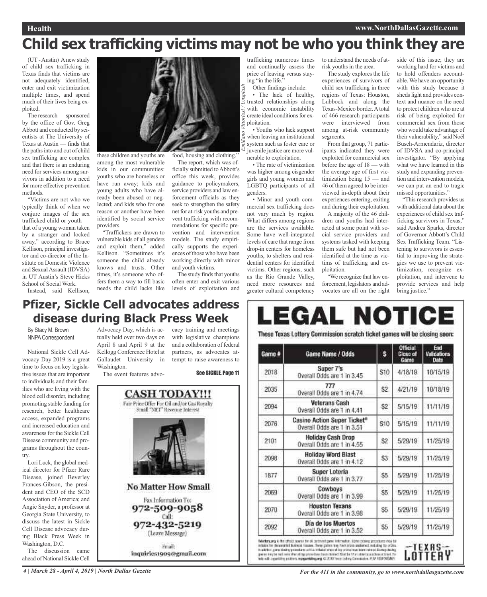# **Child sex trafficking victims may not be who you think they are**

*Emiliano Vittoriosi / Unsplash*

(UT-Austin) Anew study of child sex trafficking in Texas finds that victims are not adequately identified, enter and exit victimization multiple times, and spend much of their lives being exploited.

The research — sponsored by the office of Gov. Greg Abbott and conducted by scientists at The University of Texas at Austin — finds that the pathsinto and out of child sex trafficking are complex and that there is an enduring need for services among survivors in addition to a need for more effective prevention methods.

"Victims are not who we typically think of when we conjure images of the sex trafficked child or youth that of a young woman taken by a stranger and locked away," according to Bruce Kellison, principal investigator and co-director of the Institute on Domestic Violence and Sexual Assault (IDVSA) in UT Austin's Steve Hicks School of Social Work.

Instead, said Kellison,



these children and youths are among the most vulnerable kids in our communities: youths who are homeless or have run away; kids and young adults who have already been abused or neglected; and kids who for one reason or another have been identified by social service providers.

"Traffickers are drawn to vulnerable kids of all genders and exploit them," added Kellison. "Sometimes it's someone the child already knows and trusts. Other times, it's someone who offers them a way to fill basic needs the child lacks like

The report, which was officially submitted to Abbott's office this week, provides guidance to policymakers, service providers and law enforcement officials as they seek to strengthen the safety net for at-risk youths and prevent trafficking with recommendations for specific prevention and intervention models. The study empirically supports the experiences of those who have been working directly with minor

and youth victims. The study finds that youths often enter and exit various levels of exploitation and

trafficking numerous times and continually assess the price of leaving versus staying "in the life."

Other findings include: • The lack of healthy, trusted relationships along with economic instability create ideal conditions for exploitation.

• Youths who lack support when leaving an institutional system such as foster care or juvenile justice are more vulnerable to exploitation.

• The rate of victimization was higher among cisgender girls and young women and LGBTQ participants of all genders.

• Minor and youth commercial sex trafficking does not vary much by region. What differs among regions are the services available. Some have well-integrated levels of care that range from drop-in centers for homeless youths, to shelters and residential centers for identified victims. Other regions, such as the Rio Grande Valley, need more resources and greater cultural competency

to understand the needs of atrisk youths in the area.

The study explores the life experiences of survivors of child sex trafficking in three regions of Texas: Houston, Lubbock and along the Texas-Mexico border.Atotal of 466 research participants were interviewed from among at-risk community segments.

From that group, 71 participants indicated they were exploited for commercial sex before the age of 18 — with the average age of first victimization being 15 — and 46 of them agreed to be interviewed in-depth about their experiences entering, exiting and during their exploitation.

A majority of the 46 children and youths had interacted at some point with social service providers and systems tasked with keeping them safe but had not been identified at the time as victims of trafficking and exploitation.

"We recognize that law enforcement, legislators and advocates are all on the right

side of this issue; they are working hard for victims and to hold offenders accountable.We have an opportunity with this study because it sheds light and provides context and nuance on the need to protect children who are at risk of being exploited for commercial sex from those who would take advantage of their vulnerability," said Noël Busch-Armendariz, director of IDVSA and co-principal investigator. "By applying what we have learned in this study and expanding prevention and intervention models, we can put an end to tragic missed opportunities." "This research provides us

with additional data about the experiences of child sex trafficking survivors in Texas," said Andrea Sparks, director of Governor Abbott's Child Sex Trafficking Team. "Listening to survivors is essential to improving the strategies we use to prevent victimization, recognize exploitation, and intervene to provide services and help bring justice."

## **Pfizer, Sickle Cell advocates address disease during Black Press Week**

By Stacy M. Brown NNPA Correspondent

National Sickle Cell Advocacy Day 2019 is a great time to focus on key legislative issues that are important to individuals and their families who are living with the blood cell disorder, including promoting stable funding for research, better healthcare access, expanded programs and increased education and awareness for the Sickle Cell Disease community and programs throughout the country.

Lori Luck, the global medical director for Pfizer Rare Disease, joined Beverley Frances-Gibson, the president and CEO of the SCD Association of America; and Angie Snyder, a professor at Georgia State University, to discuss the latest in Sickle Cell Disease advocacy during Black Press Week in Washington, D.C.

The discussion came ahead of National Sickle Cell

Advocacy Day, which is ac-cacy training and meetings tually held over two days on April 8 and April 9 at the Kellogg Conference Hotel at Gallaudet University in Washington.

The event features advo-

with legislative champions and a collaboration of federal partners, as advocates attempt to raise awareness to See SICKLE, Page 11



inquiries1909@gmail.com

#### LEGAL NOTICI These Texas Lottery Commission scratch ticket games will be closing soon: End s Game # Game Name / Odds **Close of Validations** Gamo Date Super 7's 4/18/19 2018 **S10** 10/15/19 Overall Odds are 1 in 3.45 777 2035 \$2 4/21/19 10/18/19 Overall Odds are 1 in 4.74 **Veterans Cash** \$Ż 2094 5/15/19 11/11/19 Overall Odds are 1 in 4.41

| 2076 | Casino Action Super Ticket <sup>®</sup><br>Overall Odds are 1 in 3.51 | \$10 | 5/15/19 | 11/11/19 |
|------|-----------------------------------------------------------------------|------|---------|----------|
| 2101 | <b>Holiday Cash Drop</b><br>Overall Odds are 1 in 4.55                | \$2  | 5/29/19 | 11/25/19 |
| 2098 | <b>Holiday Word Blast</b><br>Overall Odds are 1 in 4.12               | \$3  | 5/29/19 | 11/25/19 |
| 1877 | Super Loteria<br>Overall Odds are 1 in 3.77                           | \$5  | 5/29/19 | 11/25/19 |
| 2069 | Cowboys<br>Overall Odds are 1 in 3.99                                 | \$5  | 5/29/19 | 11/25/19 |
| 2070 | <b>Houston Texans</b><br>Overall Odds are 1 in 3.98                   | \$5  | 5/29/19 | 11/25/19 |
| 2092 | Día de los Muertos<br>Overall Odds are 1 in 3.52                      | \$5  | 5/29/19 | 11/25/19 |

fideday, any is the official worsh for all permetrippens information. Signor positing arconburst may be in babit for decorrental business results. These partes way have are to originate the initiating too prizes.<br>In addition, pane shaking procedures with the industrial and his orbital term beam calmed bluming classing. per en interformed men after all lap prime barr barre dictited Afvat be 17 an about to practice a sinual. For<br>Will with a gentifice protives, resignated lagung, 43 2013 Terrar (offere Considerium, PLAP AISSFORDAM) LOTTERY

4 | March 28 - April 4, 2019 | North Dallas Gazette The State For the 411 in the community, go to www.northdallasgazette.com

TEXAS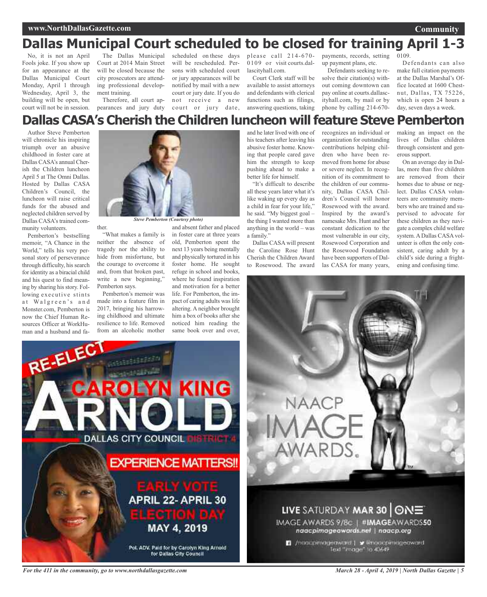## **www.NorthDallasGazette.com**

# **Dallas Municipal Court scheduled to be closed for training April 1-3**

No, it is not an April Fools joke. If you show up for an appearance at the Dallas Municipal Court Monday, April 1 through Wednesday, April 3, the building will be open, but court will not be in session.

The Dallas Municipal Court at 2014 Main Street will be closed because the city prosecutors are attending professional development training.

Therefore, all court appearances and jury duty court or jury date,

scheduled on these days will be rescheduled. Persons with scheduled court or jury appearances will be notified by mail with a new court or jury date. If you do not receive a new

please call 214-670- 0109 or visit courts.dallascityhall.com.

Court Clerk staff will be available to assist attorneys and defendants with clerical functions such as filings, answering questions, taking

payments, records, setting up payment plans, etc.

Defendants seeking to resolve their citation(s) without coming downtown can pay online at courts.dallascityhall.com, by mail or by phone by calling 214-670-

Defendants can also make full citation payments at the Dallas Marshal's Office located at 1600 Chestnut, Dallas, TX 75226, which is open 24 hours a day, seven days a week.

0109.

## **Dallas CASA's Cherish the Children luncheon willfeature Steve Pemberton**

Author Steve Pemberton will chronicle his inspiring triumph over an abusive childhood in foster care at Dallas CASA's annual Cherish the Children luncheon April 5 at The Omni Dallas. Hosted by Dallas CASA Children's Council, the luncheon will raise critical funds for the abused and neglected children served by Dallas CASA's trained community volunteers.

Pemberton's bestselling memoir, "A Chance in the World," tells his very personal story of perseverance through difficulty, his search for identity as a biracial child and his quest to find meaning by sharing hisstory. Following executive stints at Walgreen's and Monster.com, Pemberton is now the Chief Human Resources Officer at WorkHuman and a husband and fa-



*Steve Pemberton (Courtesy photo)*

"What makes a family is neither the absence of tragedy nor the ability to hide from misfortune, but the courage to overcome it and, from that broken past, write a new beginning," Pemberton says.

ther.

Pemberton's memoir was made into a feature film in 2017, bringing his harrowing childhood and ultimate resilience to life. Removed from an alcoholic mother

and absent father and placed in foster care at three years old, Pemberton spent the next 13 years being mentally and physically tortured in his foster home. He sought refuge in school and books, where he found inspiration and motivation for a better life. For Pemberton, the impact of caring adults was life altering. A neighbor brought him a box of books after she noticed him reading the same book over and over,

and he later lived with one of his teachers after leaving his abusive foster home. Knowing that people cared gave him the strength to keep pushing ahead to make a better life for himself.

"It's difficult to describe all these years later what it's like waking up every day as a child in fear for your life," he said. "My biggest goal – the thing I wanted more than anything in the world – was a family."

Dallas CASA will present the Caroline Rose Hunt Cherish the Children Award to Rosewood. The award recognizes an individual or organization for outstanding contributions helping children who have been removed from home for abuse or severe neglect. In recognition of its commitment to the children of our community, Dallas CASA Children's Council will honor Rosewood with the award. Inspired by the award's namesake Mrs. Hunt and her constant dedication to the most vulnerable in our city, Rosewood Corporation and the Rosewood Foundation have been supporters of Dallas CASA for many years,

making an impact on the lives of Dallas children through consistent and generous support.

On an average day in Dallas, more than five children are removed from their homes due to abuse or neglect. Dallas CASA volunteers are community members who are trained and supervised to advocate for these children as they navigate a complex child welfare system.ADallas CASAvolunteer is often the only consistent, caring adult by a child's side during a frightening and confusing time.





*For the 411 in the community, go to www.northdallasgazette.com*

*March 28 - April 4, 2019 | North Dallas Gazette | 5*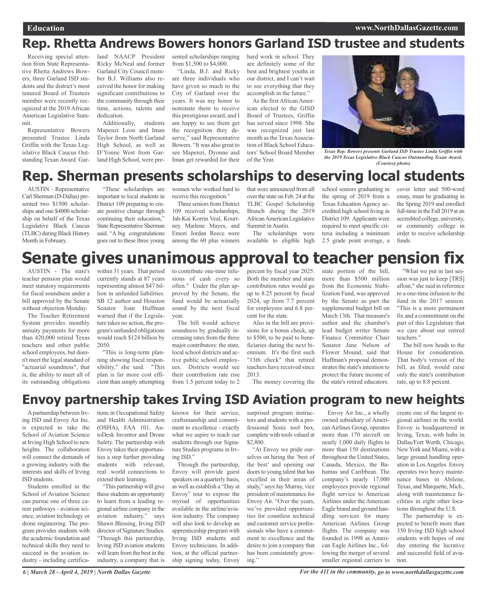# **Rep. Rhetta Andrews Bowers honors Garland ISD trustee and students**

Receiving special attention from State Representative Rhetta Andrews Bowers, three Garland ISD students and the district's most tenured Board of Trustees member were recently recognized at the 2019 African American Legislative Summit.

Representative Bowers presented Trustee Linda Griffin with the Texas Legislative Black Caucus Outstanding Texan Award. Gar-

land NAACP President Ricky McNeal and former Garland City Council member B.J. Williams also received the honor for making significant contributions to the community through their time, actions, talents and dedication.

Additionally, students Mapenzi Leon and Iman Taylor from North Garland High School, as well as D'Yonne West from Garland High School, were presented scholarships ranging from \$1,500 to \$4,000.

"Linda, B.J. and Ricky are three individuals who have given so much to the City of Garland over the years. It was my honor to nominate them to receive this prestigious award, and I am happy to see them get the recognition they deserve," said Representative Bowers. "It was also great to see Mapenzi, Dyonne and Iman get rewarded for their

hard work in school. They are definitely some of the best and brightest youths in our district, and I can't wait to see everything that they accomplish in the future."

As the first African American elected to the GISD Board of Trustees, Griffin has served since 1998. She was recognized just last month as the Texas Association of Black School Educators' School Board Member of the Year.



*Texas Rep. Bowers presents Garland ISD Trustee Linda Griffin with the 2019 Texas Legislative Black Caucus Outstanding Texan Award. (Courtesy photo)*

# **Rep. Sherman presents scholarships to deserving local students**

AUSTIN – Representative Carl Sherman (D-Dallas) presented two \$1500 scholarships and one \$4000 scholarship on behalf of the Texas Legislative Black Caucus (TLBC) during Black History Month in February.

"These scholarships are important to local students in District 109 preparing to create positive change through continuing their education," State Representative Sherman said. "A big congratulations goes out to these three young

women who worked hard to receive this recognition."

Three seniors from District 109 received scholarships, Jah-Kai Korrin Veal, Kourtney Marlene Mayes, and Emori Jordan Reece were among the 60 plus winners that were announced from all overthe state on Feb. 24 at the TLBC Gospel Scholarship Brunch during the 2019 AfricanAmerican Legislative Summit in Austin.

The scholarships were available to eligible high school seniors graduating in the spring of 2019 from a Texas Education Agency accredited high school living in District 109. Applicants were required to meet specific criteria including a minimum 2.5 grade point average, a cover letter and 500-word essay, must be graduating in the Spring 2019 and enrolled full-time in the Fall 2019 at an accredited college, university, or community college in order to receive scholarship funds.

# **Senate gives unanimous approval to teacher pension fix**

AUSTIN - The state's teacher pension plan would meet statutory requirements for fiscal soundness under a bill approved by the Senate without objection Monday.

The Teacher Retirement System provides monthly annuity payments for more than 420,000 retired Texas teachers and other public school employees, but doesn't meet the legal standard of "actuarial soundness", that is, the ability to meet all of its outstanding obligations

within 31 years. That period currently stands at 87 years representing almost \$47 billion in unfunded liabilities. SB 12 author and Houston Senator Joan Huffman warned that if the Legislature takes no action, the program's unfunded obligations would reach \$124 billion by 2050.

"This is long-term planning showing fiscal responsibility," she said. "This plan is far more cost efficient than simply attempting

to contribute one-time infusions of cash every so often." Under the plan approved by the Senate, the fund would be actuarially sound by the next fiscal year.

The bill would achieve soundness by gradually increasing rates from the three major contributors: the state, local school districts and active public school employees. Districts would see their contribution rate rise from 1.5 percent today to 2

percent by fiscal year 2025. Both the member and state contribution rates would go up to 8.25 percent by fiscal 2024, up from 7.7 percent for employees and 6.8 percent for the state.

Also in the bill are provisions for a bonus check, up to \$500, to be paid to beneficiaries during the next biennium. It's the first such "13th check" that retired teachers have received since 2013.

The money covering the

state portion of the bill, more than \$500 million from the Economic Stabilization Fund, was approved by the Senate as part the supplemental budget bill on March 13th. That measure's author and the chamber's lead budget writer Senate Finance Committee Chair Senator Jane Nelson of Flower Mound, said that Huffman's proposal demonstrates the state's intention to protect the future income of the state's retired educators.

"What we put in last session was just to keep [TRS] afloat," she said in reference to a one-time infusion to the fund in the 2017 session. "This is a more permanent fix and a commitment on the part of this Legislature that we care about our retired teachers."

The bill now heads to the House for consideration. That body's version of the bill, as filed, would raise only the state's contribution rate, up to 8.8 percent.

# **Envoy partnership takes Irving ISD Aviation program to new heights**

Apartnership between Irving ISD and Envoy Air Inc. is expected to take the School of Aviation Science at Irving High School to new heights. The collaboration will connect the demands of a growing industry with the interests and skills of Irving ISD students.

Students enrolled in the School of Aviation Science can pursue one of three career pathways - aviation science, aviation technology or drone engineering. The program provides students with the academic foundation and technical skills they need to succeed in the aviation industry - including certifica-

tions in Occupational Safety and Health Administration (OSHA), FAA 101, AutoDesk Inventor and Drone Safety. The partnership with Envoy takes their opportunities a step further providing students with relevant, real<sup>[10]</sup> vorld connections to extend their learning.

"This partnership will give these students an opportunity to learn from a leading regional airline company in the aviation industry," says Shawn Blessing, Irving ISD director of Signature Studies. "Through this partnership, Irving ISD aviation students will learn from the best in the industry, a company that is

known for their service, craftsmanship and commitment to excellence - exactly what we aspire to teach our students through our Signature Studies programs in Irving ISD."

Through the partnership, Envoy will provide guest speakers on a quarterly basis, as well as establish a "Day at Envoy" tour to expose the myriad of opportunities available in the airline/aviation industry. The company will also look to develop an apprenticeship program with Irving ISD students and Envoy technicians. In addition, at the official partnership signing today, Envoy

surprised program instructors and students with a professional Sonic tool box, complete with tools valued at \$2,800.

"At Envoy we pride ourselves on hiring the 'best of the best' and opening our doors to young talent that has excelled in their areas of study," saysJay Murray, vice president of maintenance for Envoy Air. "Over the years, we've provided opportunities for countless technical and customer service professionals who have a commitment to excellence and the desire to join a company that has been consistently growing."

Envoy Air Inc., a wholly owned subsidiary of American Airlines Group, operates more than 170 aircraft on nearly 1,000 daily flights to more than 150 destinations throughout the United States, Canada, Mexico, the Bahamas and Caribbean. The company's nearly 17,000 employees provide regional flight service to American Airlines under the American Eagle brand and ground handling services for many American Airlines Group flights. The company was founded in 1998 as American Eagle Airlines Inc., following the merger of several smaller regional carriers to

create one of the largest regional airlines in the world. Envoy is headquartered in Irving, Texas, with hubs in Dallas/Fort Worth, Chicago, NewYork and Miami, with a large ground handling operation in Los Angeles. Envoy operates two heavy maintenance bases in Abilene, Texas, and Marquette, Mich., along with maintenance facilities in eight other locations throughout the U.S.

The partnership is expected to benefit more than 350 Irving ISD high school students with hopes of one day entering the lucrative and successful field of aviation.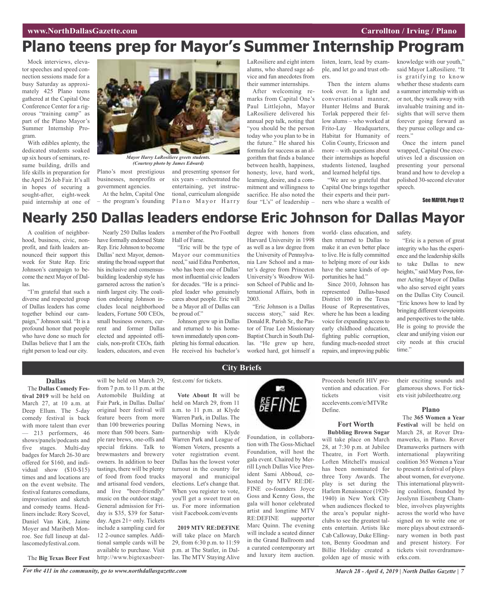# **Plano teens prep for Mayor's Summer Internship Program**

Mock interviews, elevator speeches and speed connection sessions made for a busy Saturday as approximately 425 Plano teens gathered at the Capital One Conference Center for a rigorous "training camp" as part of the Plano Mayor's Summer Internship Program.

With edibles aplenty, the dedicated students soaked up six hours of seminars, resume building, drills and life skills in preparation for the April 26 Job Fair. It's all in hopes of securing a sought-after, eight-week paid internship at one of



*(Courtesy photo by James Edward)*

Plano's most prestigious businesses, nonprofits or government agencies.

At the helm, Capital One – the program's founding

and presenting sponsor for six years – orchestrated the entertaining, yet instructional, curriculum alongside Plano Mayor Harry LaRosiliere and eight intern alums, who shared sage advice and fun anecdotes from their summer internships.

After welcoming remarks from Capital One's Paul Littlejohn, Mayor LaRosiliere delivered his annual pep talk, noting that "you should be the person today who you plan to be in the future." He shared his formula for success as an algorithm that finds a balance between health, happiness, honesty, love, hard work, learning, desire, and a commitment and willingness to sacrifice. He also noted the four "L's" of leadership –

listen, learn, lead by example, and let go and trust others.

Then the intern alums took over. In a light and conversational manner, Hunter Helms and Burak Torlak peppered their fellow alums – who worked at Frito-Lay Headquarters, Habitat for Humanity of Colin County, Ericsson and more – with questions about their internships as hopeful students listened, laughed and learned helpful tips.

"We are so grateful that Capital One brings together their experts and their partners who share a wealth of knowledge with our youth," said Mayor LaRosiliere. "It is gratifying to know whether these students earn a summer internship with us or not, they walk away with invaluable training and insights that will serve them forever going forward as they pursue college and careers.'

Once the intern panel wrapped, Capital One executives led a discussion on presenting your personal brand and how to develop a polished 30-second elevator speech.

See MAYOR, Page 12

# **Nearly 250 Dallas leaders endorse Eric Johnson for Dallas Mayor**

A coalition of neighborhood, business, civic, nonprofit, and faith leaders announced their support this week for State Rep. Eric Johnson's campaign to become the next Mayor of Dallas.

"I'm grateful that such a diverse and respected group of Dallas leaders has come together behind our campaign," Johnson said. "It is a profound honor that people who have done so much for Dallas believe that I am the right person to lead our city.

Nearly 250 Dallas leaders have formally endorsed State Rep. Eric Johnson to become Dallas' next Mayor, demonstrating the broad support that his inclusive and consensusbuilding leadership style has garnered across the nation's ninth largest city. The coalition endorsing Johnson includes local neighborhood leaders, Fortune 500 CEOs, small business owners, current and former Dallas elected and appointed officials, non-profit CEOs, faith leaders, educators, and even

a member of the Pro Football Hall of Fame.

"Eric will be the type of Mayor our communities need," said Edna Pemberton, who has been one of Dallas' most influential civic leaders for decades. "He is a principled leader who genuinely cares about people. Eric will be a Mayor all of Dallas can be proud of."

Johnson grew up in Dallas and returned to his hometown immediately upon completing his formal education. He received his bachelor's

degree with honors from Harvard University in 1998 as well as a law degree from the University of Pennsylvania Law School and a master's degree from Princeton University's Woodrow Wilson School of Public and International Affairs, both in 2003.

"Eric Johnson is a Dallas success story," said Rev. Donald R. Parish Sr., the Pastor of True Lee Missionary Baptist Church in South Dallas. "He grew up here, worked hard, got himself a

world- class education, and then returned to Dallas to make it an even better place to live. He is fully committed to helping more of our kids have the same kinds of opportunities he had."

Since 2010, Johnson has represented Dallas-based District 100 in the Texas House of Representatives, where he has been a leading voice for expanding access to early childhood education, fighting public corruption, funding much-needed street repairs, and improving public

safety.

"Eric is a person of great integrity who has the experience and the leadership skills to take Dallas to new heights," said Mary Poss, former Acting Mayor of Dallas who also served eight years on the Dallas City Council. "Eric knows how to lead by bringing different viewpoints and perspectives to the table. He is going to provide the clear and unifying vision our city needs at this crucial time."

## **Dallas**

The **Dallas Comedy Festival 2019** will be held on March 27, at 10 a.m. at Deep Ellum. The 5-day comedy festival is back with more talent than ever 213 performers, 46 shows/panels/podcasts and five stages. Multi-day badges for March 26-30 are offered for \$160, and individual show (\$10-\$15) times and and locations are on the event website. The festival features comedians, improvisation and sketch and comedy teams. Headliners include: Rory Scovel, Daniel Van Kirk, Jaime Moyer and Maribeth Monroe. See full lineup at dallascomedyfestival.com.

The **Big Texas Beer Fest**

will be held on March 29, from 7 p.m. to 11 p.m. at the Automobile Building at Fair Park, in Dallas. Dallas' original beer festival will feature beers from more than 100 breweries pouring more than 500 beers. Sample rare brews, one-offs and special firkins. Talk to brewmasters and brewery owners. In addition to beer tastings, there will be plenty of food from food trucks and artisanal food vendors, and live "beer-friendly" music on the outdoor stage. General admission for Friday is \$35, \$39 for Saturday. Ages 21+ only. Tickets include a sampling card for 12 2-ounce samples. Additional sample cards will be available to purchase. Visit http://www.bigtexasbeerfest.com/ for tickets.

**Vote About It** will be held on March 29, from 11 a.m. to 11 p.m. at Klyde Warren Park, in Dallas. The Dallas Morning News, in partnership with Klyde Warren Park and League of Women Voters, presents a voter registration event. Dallas has the lowest voter turnout in the country for mayoral and municipal elections. Let's change that. When you register to vote, you'll get a sweet treat on us. For more information visit Facebook.com/events

**2019 MTV RE:DEFINE** will take place on March 29, from 6:30 p.m. to 11:59 p.m. at The Statler, in Dallas. The MTV Staying Alive



Foundation, in collaboration with The Goss-Michael Foundation, will host the gala event. Chaired by Merrill Lynch Dallas Vice President Sami Abboud, cohosted by MTV RE:DE-FINE co-founders Joyce Goss and Kenny Goss, the gala will honor celebrated artist and longtime MTV<br>RE:DEFINE supporter RE:DEFINE Marc Quinn. The evening will include a seated dinner in the Grand Ballroom and a curated contemporary art and luxury item auction.

Proceeds benefit HIV prevention and education. For tickets visit accelevents.com/e/MTVRe Define.

#### **Fort Worth Bubbling Brown Sugar**

will take place on March 28, at 7:30 p.m. at Jubilee Theatre, in Fort Worth. Loften Mitchell's musical has been nominated for three Tony Awards. The play is set during the Harlem Renaissance (1920- 1940) in New York City when audiences flocked to the area's popular nightclubs to see the greatest talents entertain. Artists like Cab Calloway, Duke Ellington, Benny Goodman and Billie Holiday created a golden age of music with

their exciting sounds and glamorous shows. For tickets visit jubileetheatre.org

#### **Plano**

The **365 Women a Year Festival** will be held on March 28, at Rover Dramawerks, in Plano. Rover Dramawerks partners with international playwriting coalition 365 Women a Year to present a festival of plays about women, for everyone. This international playwriting coalition, founded by Jesslynn Eisenberg Chamblee, involves playwrights across the world who have signed on to write one or more plays about extraordinary women in both past and present history. For tickets visit roverdramawerks.com.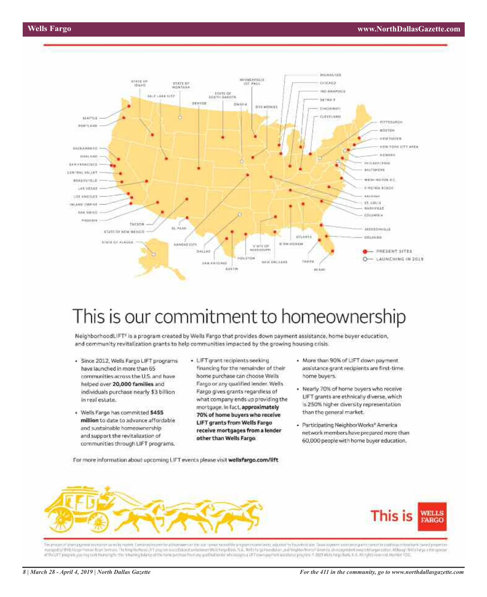

# This is our commitment to homeownership

NeighborhoodLIFT<sup>1</sup> is a program created by Wells Fargo that provides down payment assistance, home buyer education, and community revitalization grants to help communities impacted by the growing housing crisis.

- · Since 2012, Wells Fargo LIFT programs have launched in more than 65 communities across the U.S. and have helped over 20,000 families and individuals purchase nearly \$3 billion in real estate.
- · Wells Fargo has committed \$455 million to date to advance affordable and sustainable homeownership and support the revitalization of communities through LIFT programs.
- · LIFT grant recipients seeking financing for the remainder of their home purchase can choose Wells Fargo or any qualified lender. Wells Fargo gives grants regardless of what company ends up providing the mortgage. In fact, approximately 70% of home buyers who receive LIFT grants from Wells Fargo receive mortgages from a lender other than Wells Fargo.
- More than 90% of LIFT down payment. assistance grant recipients are first-time home buyers.
- . Nearly 70% of home buyers who receive LIFT grants are ethnically diverse, which is 250% higher diversity representation than the general market.
- · Participating NeighborWorks® America network members have prepared more than 60,000 people with home buyer education.

For more information about upcoming LIFT events please visit wellsfargo.com/lift





The appart of the Capture of the Controller of the Controller of the Controller of the Controller of the Controller of the Controller of the Controller of the Controller of the Appendix Controller of the Appendix of the Co monopolity Will Farga Prim an Anan Service. Thi Neighbothnoc JFT program is and about an extraorbationer Wells Fangallity), 76.2. Wells Fanga Foundation, and Neighborthnoc " America among perilem involunting. Notholy third of the UFF program, you may seek financing for the inning bullets of the here perchasi from py staffed lends; who mosques UFF core psyment assistance program. @ 2009 Winds Forgo, Bank, N. A. All rights reserved. Monday PDI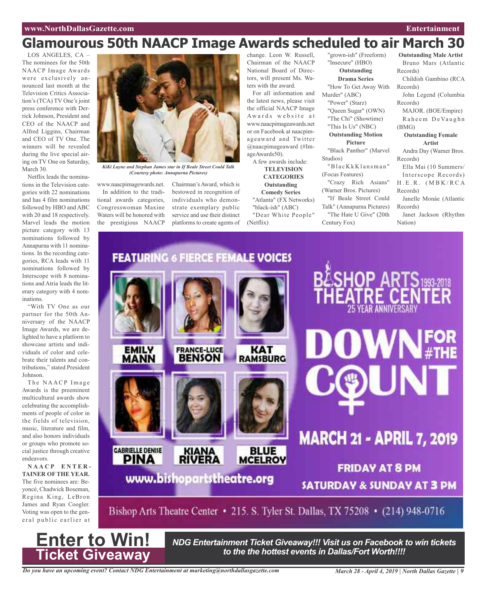## **www.NorthDallasGazette.com Entertainment**

# **Glamourous 50th NAACP Image Awards scheduled to air March 30**

LOS ANGELES, CA The nominees for the 50th NAACP Image Awards were exclusively announced last month at the Television Critics Association's (TCA) TV One's joint press conference with Derrick Johnson, President and CEO of the NAACP and Alfred Liggins, Chairman and CEO of TV One. The winners will be revealed during the live special airing on TV One on Saturday, March 30.

Netflix leads the nominations in the Television categories with 22 nominations and has 4 film nominations followed by HBO and ABC with 20 and 18 respectively. Marvel leads the motion picture category with 13 nominations followed by Annapurna with 11 nominations. In the recording categories, RCA leads with 11 nominations followed by Interscope with 8 nominations and Atria leads the literary category with 4 nominations.

"With TV One as our partner for the 50th Anniversary of the NAACP Image Awards, we are delighted to have a platform to showcase artists and individuals of color and celebrate their talents and contributions," stated President Johnson.

The NAACP Image Awards is the preeminent multicultural awards show celebrating the accomplishments of people of color in the fields of television, music, literature and film, and also honors individuals or groups who promote social justice through creative endeavors.

**N A A C P E N T E R - TAINER OF THE YEAR.** The five nominees are: Beyoncé, Chadwick Boseman, Regina King, LeBron James and Ryan Coogler. Voting was open to the general public earlier at

**Enter to Win!**

**Ticket Giveaway**



*KiKi Layne and Stephan James star in If Beale Street Could Talk (Courtesy photo: Annapurna Pictures)*

www.naacpimagewards.net. Chairman's Award, which is

In addition to the traditional awards categories, Congresswoman Maxine Waters will be honored with the prestigious NAACP

bestowed in recognition of individuals who demonstrate exemplary public service and use their distinct platforms to create agents of

change. Leon W. Russell, Chairman of the NAACP National Board of Directors, will present Ms. Waters with the award.

For all information and the latest news, please visit the official NAACP Image Awards website at www.naacpimageawards.net or on Facebook at naacpimageaward and Twitter @naacpimageaward (#ImageAwards50).

A few awards include: **TELEVISION CATEGORIES Outstanding Comedy Series** "Atlanta" (FX Networks) "black-ish" (ABC)

"Dear White People" (Netflix)

"grown-ish" (Freeform) "Insecure" (HBO) **Outstanding Drama Series**

"How To Get Away With Murder" (ABC)

- "Power" (Starz)
- "Queen Sugar" (OWN) "The Chi" (Showtime)
- "This Is Us" (NBC)

**Outstanding Motion**

## **Picture**

"Black Panther" (Marvel Studios)

"Bl a c K k K l a n sma n " (Focus Features)

"Crazy Rich Asians" (Warner Bros. Pictures)

"If Beale Street Could Talk" (Annapurna Pictures)

"The Hate U Give" (20th Century Fox)

**Outstanding Male Artist** Bruno Mars (Atlantic Records)

Childish Gambino (RCA Records)

John Legend (Columbia Records)

MAJOR. (BOE/Empire) Raheem De Vaughn (BMG)

## **Outstanding Female Artist**

Andra Day (Warner Bros. Records)

Ella Mai (10 Summers/ Interscope Records)  $H.E.R. (MBK/RCA)$ 

Records) Janelle Monáe (Atlantic Records)

Janet Jackson (Rhythm Nation)

**FEATURING 6 FIERCE FEMALE VOICES WNFOR EMILY FRANCE-LUCE KAT BENSON** MANN **RAMSBURG MARCH 21 - APRIL 7, 2019 GABRIELLE DENISE KIANA**<br>RIVERA **BLUE MCELROY PINA FRIDAY AT 8 PM** www.bishopartstheatre.org **SATURDAY & SUNDAY AT 3 PM** Bishop Arts Theatre Center • 215. S. Tyler St. Dallas, TX 75208 • (214) 948-0716

> *NDG Entertainment Ticket Giveaway!!! Visit us on Facebook to win tickets to the the hottest events in Dallas/Fort Worth!!!!*

*Do you have an upcoming event? Contact NDG Entertainment at marketing@northdallasgazette.com*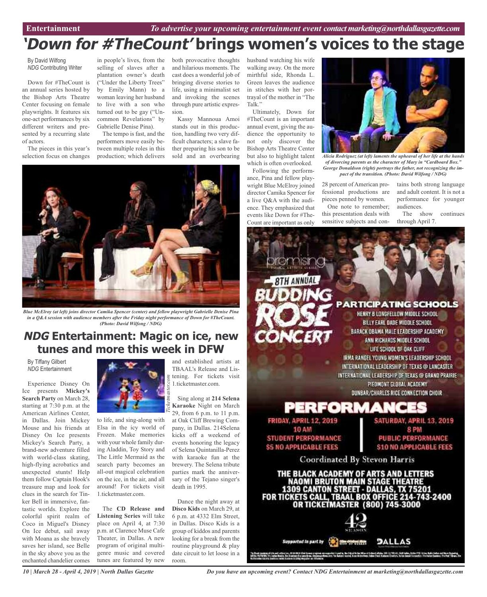# **'Down for #TheCount' brings women's voices to the stage**

By David Wilfong *NDG* Contributing Writer

Down for #TheCount is an annual series hosted by the Bishop Arts Theatre Center focusing on female playwrights. It features six one-act performances by six different writers and presented by a recurring slate of actors.

The pieces in this year's selection focus on changes

in people's lives, from the selling of slaves after a plantation owner's death ("Under the Liberty Trees" by Emily Mann) to a woman leaving her husband to live with a son who turned out to be gay ("Uncommon Revelations" by Gabrielle Denise Pina).

The tempo is fast, and the performers move easily between multiple roles in this production; which delivers

both provocative thoughts and hilarious moments. The cast does a wonderful job of bringing diverse stories to life, using a minimalist set and invoking the scenes through pure artistic expression.

Kassy Mannoua Amoi stands out in this production, handling two very difficult characters; a slave father preparing his son to be sold and an overbearing



*Blue McElroy (at left) joins director Camika Spencer (center) and fellow playwright Gabrielle Denise Pina in a Q&A session with audience members after the Friday night performance of Down for #TheCount. (Photo: David Wilfong / NDG)*

## **NDG Entertainment: Magic on ice, new tunes and more this week in DFW**

By Tiffany Gilbert *NDG* Entertainment

Experience Disney On Ice presents **Mickey's Search Party** on March 28, starting at 7:30 p.m. at the American Airlines Center, in Dallas. Join Mickey Mouse and his friends at Disney On Ice presents Mickey's Search Party, a brand-new adventure filled with world-class skating, high-flying acrobatics and unexpected stunts! Help them follow Captain Hook's treasure map and look for clues in the search for Tinker Bell in immersive, fantastic worlds. Explore the colorful spirit realm of Coco in Miguel's Disney On Ice debut, sail away with Moana as she bravely saves her island, see Belle in the sky above you as the enchanted chandelier comes



to life, and sing-along with Elsa in the icy world of Frozen. Make memories with your whole family during Aladdin, Toy Story and The Little Mermaid as the search party becomes an all-out magical celebration on the ice, in the air, and all around! For tickets visit 1.ticketmaster.com.

The **CD Release and Listening Series** will take place on April 4, at 7:30 p.m. at Clarence Muse Cafe Theater, in Dallas. A new program of original multigenre music and covered tunes are featured by new and established artists at TBAAL's Release and Listening. For tickets visit 1.ticketmaster.com.

Sing along at **214 Selena Karaoke** Night on March 29, from 6 p.m. to 11 p.m. at Oak Cliff Brewing Company, in Dallas. 214Selena kicks off a weekend of events honoring the legacy of Selena Quintanilla-Perez with karaoke fun at the brewery. The Selena tribute parties mark the anniversary of the Tejano singer's death in 1995.

Dance the night away at **Disco Kids** on March 29, at 6 p.m. at 4332 Elm Street, in Dallas. Disco Kids is a group of kiddos and parents looking for a break from the routine playground & play date circuit to let loose in a room.

husband watching his wife walking away. On the more mirthful side, Rhonda L. Green leaves the audience in stitches with her portrayal of the mother in "The Talk<sup>"</sup>

Ultimately, Down for #TheCount is an important annual event, giving the audience the opportunity to not only discover the Bishop Arts Theatre Center but also to highlight talent which is often overlooked.

Following the performance, Pina and fellow playwright Blue McElroy joined director Camika Spencer for a live Q&A with the audience. They emphasized that events like Down for #The-Count are important as only



*Alicia Rodriguez (at left) laments the upheaval of her life at the hands of divorcing parents as the character of Mary in "Cardboard Box." George Donaldson (right) portrays the father, not recognizing the impact of the transition. (Photo: David Wilfong / NDG)*

28 percent of American professional productions are pieces penned by women. One note to remember; this presentation deals with

sensitive subjects and con-

tains both strong language and adult content. It is not a performance for younger audiences.

The show continues through April 7.



*Do you have an upcoming event? Contact NDG Entertainment at marketing@northdallasgazette.com*

i kyadin, Ku töyvi Krim Miveri tidand alalm, 188 (1793) 1874-bilda, kolo 1798 kidar Halls Golin mittem Kapadoj<br>In Autori merek, Kess Advellam Sulan Paul, Kabada Sadara, Sulan basal Grandes, Fis Kelat Eustasa, Fis Pad Tiba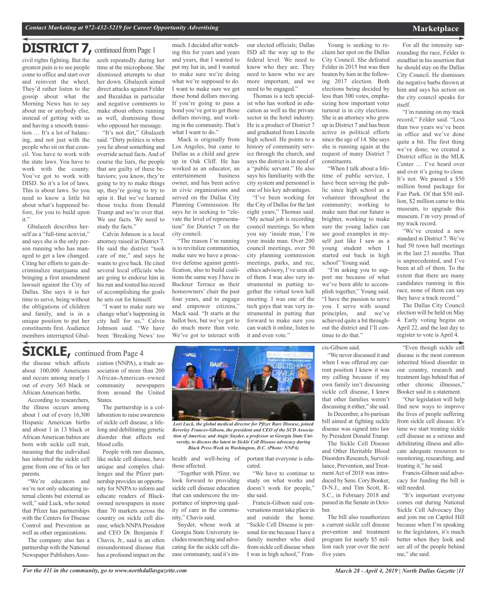## **DISTRICT 7,** continued fromPage <sup>1</sup>

civil rights fighting. But the greatest pain is to see people come to office and start over and reinvent the wheel. They'd rather listen to the gossip about what the Morning News has to say about me or anybody else, instead of getting with us and having a smooth transition … It's a lot of balancing, and not just with the people who sit on that council. You have to work with the state laws. You have to work with the county. You've got to work with DISD. So it's a lot of laws. This is about laws. So you need to know a little bit about what's happened before, for you to build upon it."

Gbalazeh describes herself as a "full-time activist," and says she is the only person running who has managed to get a law changed. Citing her efforts to gain decriminalize marijuana and bringing a first amendment lawsuit against the City of Dallas. She says it is her time to serve, being without the obligations of children and family, and is in a unique position to put her constituents first. Audience members interrupted Gbalazeh repeatedly during her time at the microphone. She dismissed attempts to shut her down. Gbalazeh aimed direct attacks against Felder and Bazaldua in particular and negative comments to make about others running as well, dismissing those who opposed her message.

"It's not dirt," Gbalazeh said. "Dirty politics is when you lie about something and override actual facts. And of course the liars, the people that are guilty of these behaviors; you know, they're going to try to make things up, they're going to try to spin it. But we've learned those tricks from Donald Trump and we're over that. We use facts. We need to study the facts."

Calvin Johnson is a local attorney raised in District 7. He said the district "took care of me," and says he wants to give back. He cited several local officials who are going to endorse him in his run and touted his record of accomplishing the goals he sets out for himself.

"I want to make sure we change what's happening in city hall for us," Calvin Johnson said. "We have been 'Breaking News' too

much. I decided after watching this for years and years and years, that I wanted to put my hat in, and I wanted to make sure we're doing what we're supposed to do. I want to make sure we get those bond dollars moving. If you're going to pass a bond you've got to get those dollars moving, and working in the community. That's what I want to do."

Mack is originally from Los Angeles, but came to Dallas as a child and grew up in Oak Cliff. He has worked as an educator, an entertainment business entertainment owner, and has been active in civic organizations and served on the Dallas City Planning Commission. He says he is seeking to "elevate the level of representation" for District 7 on the city council.

"The reason I'm running is to revitalize communities, make sure we have a proactive defense against gentrification, also to build coalitions the same way I have in Buckner Terrace as their homeowners' chair the past four years, and to engage and empower citizens," Mack said. "It starts at the ballot box, but we've got to do much more than vote. We've got to interact with

our elected officials; Dallas ISD all the way up to the federal level. We need to know who they are. They need to know who we are more important, and we need to be engaged."

Thomas is a tech specialist who has worked in education as well as the private sector in the hotel industry. He is a product of District 7 and graduated from Lincoln high school. He points to a history of community service through the church, and says the district is in need of a "public servant." He also says his familiarity with the city system and personnel is one of his key advantages.

"I've been working for the City of Dallas for the last eight years," Thomas said. "My actual job is recording council meetings. So when you say 'inside man,' I'm your inside man. Over 200 council meetings, over 50 city planning commission meetings, parks, and rec, ethics advisory, I've seen all of them. I was also very instrumental in putting together the virtual town hall meeting. I was one of the tech guys that was very instrumental in putting that forward to make sure you can watch it online, listen to it and even vote."

Young is seeking to reclaim her spot on the Dallas City Council. She defeated Felder in 2015 but was then beaten by him in the following 2017 election. Both elections being decided by less than 300 votes, emphasizing how important voter turnout is in city elections. She is an attorney who grew up in District 7 and has been active in political efforts since the age of 14. She says she is running again at the request of many District 7 constituents.

"When I talk about a lifetime of public service, I have been serving the public since high school as a volunteer throughout the community; working to make sure that our future is brighter, working to make sure the young ladies can see good examples in myself just like I saw as a young student when I started out back in high school" Young said.

"I'm asking you to support me because of what we've been able to accomplish together," Young said. "I have the passion to serve you. I serve with sound principles, and we've achieved quite a bit throughout the district and I'll continue to do that."

cis-Gibson said.

"We never discussed it and when I was offered my current position I knew it was my calling because if my own family isn't discussing sickle cell disease, I knew that other families weren't discussing it either," she said. In December, a bi-partisan bill aimed at fighting sickle disease was signed into law

by President Donald Trump. The Sickle Cell Disease and Other Heritable Blood Disorders Research, Surveillance, Prevention, and Treatment Act of 2018 was introduced by Sens. Cory Booker, D-N.J., and Tim Scott, R-S.C., in February 2018 and passed in the Senate in October.

The bill also reauthorizes a current sickle cell disease prevention and treatment program for nearly \$5 million each year over the next five years.

For all the intensity surrounding the race, Felder is steadfast in his assertion that he should stay on the Dallas City Council. He dismisses the negative barbs thrown at him and says his action on the city council speaks for itself.

"I'm running on my track record," Felder said. "Less than two years we've been in office and we've done quite a bit. The first thing we've done; we created a District office in the MLK Center … I've heard over and over it's going to close. It's not. We passed a \$50 million bond package for Fair Park. Of that \$50 million, \$2 million came to this museum, to upgrade this museum. I'm very proud of my track record.

"We've created a new standard in District 7. We've had 50 town hall meetings in the last 23 months. That is unprecedented, and I've been at all of them. To the extent that there are many candidates running in this race, none of them can say they have a track record."

The Dallas City Council election will be held on May 4. Early voting begins on April 22, and the last day to register to vote is April 4.

"Even though sickle cell disease is the most common inherited blood disorder in our country, research and treatment lags behind that of other chronic illnesses," Booker said in a statement.

"Our legislation will help find new ways to improve the lives of people suffering from sickle cell disease. It's time we start treating sickle cell disease as a serious and debilitating illness and allocate adequate resources to monitoring, researching, and treating it," he said.

Francis-Gibson said advocacy for funding the bill is still needed.

"It's important everyone comes out during National Sickle Cell Advocacy Day and join me on Capitol Hill because when I'm speaking to the legislators, it's much better when they look and see all of the people behind me," she said.

## **SICKLE,** continued from Page <sup>4</sup>

the disease which affects about 100,000 Americans and occurs among nearly 1 out of every 365 black or African American births.

According to researchers, the illness occurs among about 1 out of every 16,300 Hispanic American births and about 1 in 13 black or African American babies are born with sickle cell trait, meaning that the individual has inherited the sickle cell gene from one of his or her parents.

"We're educators and we're not only educating internal clients but external as well," said Luck, who noted that Pfizer has partnerships with the Centers for Disease Control and Prevention as well as other organizations.

The company also has a partnership with the National Newspaper Publishers Asso-

ciation (NNPA), a trade association of more than 200 African-American–owned community newspapers from around the United States.

The partnership is a collaboration to raise awareness of sickle cell disease, a lifelong and debilitating genetic disorder that affects red blood cells.

People with rare diseases, like sickle cell disease, have unique and complex challenges and the Pfizer partnership provides an opportunity for NNPA to inform and educate readers of Blackowned newspapers in more than 70 markets across the country on sickle cell disease, which NNPA President and CEO Dr. Benjamin F. Chavis, Jr., said is an often misunderstood disease that has a profound impact on the



*Lori Luck, the global medical director for Pfizer Rare Disease, joined Beverley Frances-Gibson, the president and CEO of the SCD Association of America; and Angie Snyder, a professor at Georgia State University, to discuss the latest in Sickle Cell Disease advocacy during Black Press Week in Washington, D.C. (Photo: NNPA)*

health and well-being of those affected.

"Together with Pfizer, we look forward to providing sickle cell disease education that can underscore the importance of improving quality of care in the community," Chavis said.

Snyder, whose work at Georgia State University includes researching and advocating for the sickle cell disease community, said it's important that everyone is educated.

"We have to continue to study on what works and doesn't work for people," she said.

Francis-Gibson said conversations must take place in and outside the home. "Sickle Cell Disease is personal for me because I have a family member who died from sickle cell disease when I was in high school," Fran-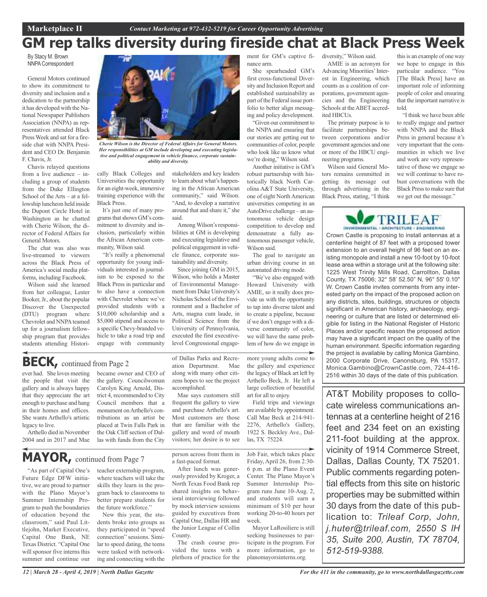# **GM rep talks diversity during fireside chat at Black Press Week**

By Stacy M. Brown **NNPA Correspondent** 

General Motors continued to show its commitment to diversity and inclusion and a dedication to the partnership it has developed with the National Newspaper Publishers Association (NNPA) as representatives attended Black Press Week and sat for a fireside chat with NNPA President and CEO Dr. Benjamin F. Chavis, Jr.

Chavis relayed questions from a live audience – including a group of students from the Duke Ellington School of the Arts – at a fellowship luncheon held inside the Dupont Circle Hotel in Washington as he chatted with Cherie Wilson, the director of Federal Affairs for General Motors.

The chat was also was live-streamed to viewers across the Black Press of America's social media platforms, including Facebook.

Wilson said she learned from her colleague, Lester Booker,Jr., about the popular Discover the Unexpected (DTU) program where Chevrolet and NNPA teamed up for a journalism fellowship program that provides students attending Histori-



*Cherie Wilson is the Director of Federal Affairs for General Motors. Her responsibilities at GM include developing and executing legislative and political engagement in vehicle finance, corporate sustainability and diversity.*

cally Black Colleges and Universities the opportunity for an eight-week, immersive training experience with the Black Press.

It's just one of many programs that shows GM's commitment to diversity and inclusion, particularly within the African American community, Wilson said.

"It's really a phenomenal opportunity for young individuals interested in journalism to be exposed to the Black Press in particular and to also have a connection with Chevrolet where we've provided students with a \$10,000 scholarship and a \$5,000 stipend and access to a specific Chevy-branded vehicle to take a road trip and engage with community

stakeholders and key leaders to learn about what's happening in the African American community," said Wilson. "And, to develop a narrative around that and share it," she said.

Among Wilson's responsibilities at GM is developing and executing legislative and political engagement in vehicle finance, corporate sustainability and diversity.

Since joining GM in 2015, Wilson, who holds a Master of Environmental Management from Duke University's Nicholas School of the Environment and a Bachelor of Arts, magna cum laude, in Political Science from the University of Pennsylvania, executed the first executivelevel Congressional engage-

**BECK,** continued from Page <sup>2</sup>

ever had. She loves meeting the people that visit the gallery and is always happy that they appreciate the art enough to purchase and hang in their homes and offices. She wants Arthello's artistic legacy to live.

Arthello died in November 2004 and in 2017 and Mae

# **MAYOR,** continued from Page <sup>7</sup>

"As part of Capital One's Future Edge DFW initiative, we are proud to partner with the Plano Mayor's Summer Internship Program to push the boundaries of education beyond the classroom," said Paul Littlejohn, Market Executive, Capital One Bank, NE Texas District. "Capital One will sponsor five interns this summer and continue our

became owner and CEO of the gallery. Councilwoman Carolyn King Arnold, District 4, recommended to City Council members that a monument onArthello's contributions as an artist be placed at Twin Falls Park in the Oak Cliff section of Dallas with funds from the City

teacher externship program, where teachers will take the skills they learn in the program back to classrooms to better prepare students for the future workforce."

New this year, the students broke into groups as they participated in "speed connection" sessions. Similar to speed dating, the teens were tasked with networking and connecting with the

of Dallas Parks and Recreation Department. Mae along with many other citizens hopes to see the project accomplished.

Mae says customers still frequent the gallery to view and purchase Arthello's art. Most customers are those that are familiar with the gallery and word of mouth visitors; her desire is to see

person across from them in a fast-paced format.

After lunch was generously provided by Kroger, a North Texas Food Bank rep shared insights on behavioral interviewing followed by mock interview sessions guided by executives from Capital One, Dallas HR and the Junior League of Collin County.

The crash course provided the teens with a plethora of practice for the ment for GM's captive finance arm.

She spearheaded GM's first cross-functional Diversity and Inclusion Report and established sustainability as part of the Federal issue portfolio to better align messaging and policy development.

"Given our commitment to the NNPA and ensuring that our stories are getting out to communities of color, people who look like us know what we're doing," Wilson said.

Another initiative is GM's robust partnership with historically black North Carolina A&T State University, one of eight North American universities competing in an AutoDrive challenge – an autonomous vehicle design competition to develop and demonstrate a fully autonomous passenger vehicle, Wilson said.

The goal to navigate an urban driving course in an automated driving mode.

"We've also engaged with Howard University with AMIE, so it really does provide us with the opportunity to tap into diverse talent and to create a pipeline, because if we don't engage with a diverse community of color, we will have the same problem of how do we engage in

more young adults come to the gallery and experience the legacy of Black art left by Arthello Beck, Jr. He left a large collection of beautiful art for all to enjoy.

Field trips and viewings are available by appointment. Call Mae Beck at 214-941- 2276, Arthello's Gallery, 1922 S. Beckley Ave., Dallas, TX 75224.

Job Fair, which takes place Friday, April 26, from 2:30- 6 p.m. at the Plano Event Center. The Plano Mayor's Summer Internship Program runs June 10-Aug. 2, and students will earn a minimum of \$10 per hour working 20-to-40 hours per week.

Mayor LaRosiliere is still seeking businesses to participate in the program. For more information, go to planomayorsinterns.org.

diversity," Wilson said. AMIE is an acronym for Advancing Minorities' Interest in Engineering, which counts as a coalition of corporations, government agencies and the Engineering Schools at the ABET accred-

The primary purpose is to facilitate partnerships between corporations and/or government agencies and one or more of the HBCU engineering programs.

ited HBCUs.

Wilson said General Motors remains committed in getting its message out through advertising in the Black Press, stating, "I think

this is an example of one way we hope to engage in this particular audience. "You [The Black Press] have an important role of informing people of color and ensuring that the important narrative is told.

"I think we have been able to really engage and partner with NNPA and the Black Press in general because it's very important that the communities in which we live and work are very representative of those we engage so we will continue to have robust conversations with the Black Press to make sure that we get out the message."



Crown Castle is proposing to install antennas at a centerline height of 87 feet with a proposed tower extension to an overall height of 96 feet on an existing monopole and install a new 10-foot by 10-foot lease area within a storage unit at the following site: 1225 West Trinity Mills Road, Carrollton, Dallas County, TX 75006; 32° 58' 52.50" N, 96° 55' 0.10" W. Crown Castle invites comments from any interested party on the impact of the proposed action on any districts, sites, buildings, structures or objects significant in American history, archaeology, engineering or culture that are listed or determined eligible for listing in the National Register of Historic Places and/or specific reason the proposed action may have a significant impact on the quality of the human environment. Specific information regarding the project is available by calling Monica Gambino, 2000 Corporate Drive, Canonsburg, PA 15317, Monica.Gambino@CrownCastle.com, 724-416- 2516 within 30 days of the date of this publication.

AT&T Mobility proposes to collocate wireless communications antennas at a centerline height of 216 feet and 234 feet on an existing 211-foot building at the approx. vicinity of 1914 Commerce Street, Dallas, Dallas County, TX 75201. Public comments regarding potential effects from this site on historic properties may be submitted within 30 days from the date of this publication to: *Trileaf Corp, John, j.huter@trileaf.com, 2550 S IH 35, Suite 200, Austin, TX 78704, 512-519-9388.*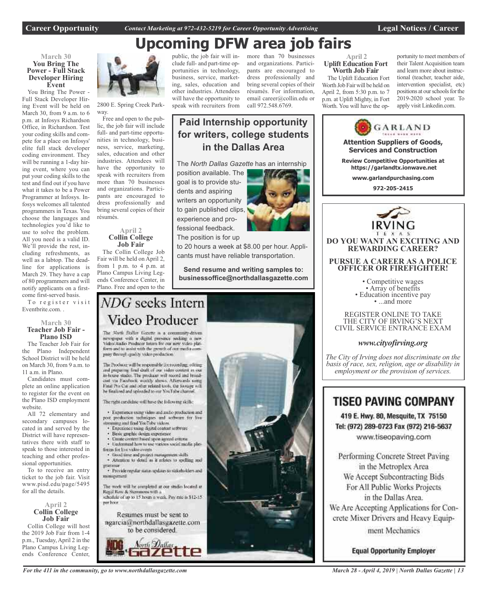**Career Opportunity** *Contact Marketing at 972-432-5219 for Career Opportunity Advertising* **Legal Notices / Career**

# **Upcoming DFW area job fairs**

## **March 30 You Bring The Power - Full Stack Developer Hiring Event**

You Bring The Power - Full Stack Developer Hiring Event will be held on March 30, from 9 a.m. to 6 p.m. at Infosys Richardson Office, in Richardson. Test your coding skills and compete for a place on Infosys' elite full stack developer coding environment. They will be running a 1-day hiring event, where you can put your coding skills to the test and find out if you have what it takes to be a Power Programmer at Infosys. Infosys welcomes all talented programmers in Texas. You choose the languages and technologies you'd like to use to solve the problem. All you need is a valid ID. We'll provide the rest, including refreshments, as well as a labtop. The deadline for applications is March 29. They have a cap of 80 programmers and will notify applicants on a firstcome first-served basis.

To register visit Eventbrite.com. .

## **March 30 Teacher Job Fair - Plano ISD**

The Teacher Job Fair for the Plano Independent School District will be held on March 30, from 9 a.m. to 11 a.m. in Plano.

Candidates must complete an online application to register for the event on the Plano ISD employment website.

All 72 elementary and secondary campuses located in and served by the District will have representatives there with staff to speak to those interested in teaching and other professional opportunities.

To to receive an entry ticket to the job fair. Visit www.pisd.edu/page/5495 for all the details.

## **April 2 Collin College Job Fair**

Collin College will host the 2019 Job Fair from 1-4 p.m., Tuesday, April 2 in the Plano Campus Living Legends Conference Center,



2800 E. Spring Creek Parkway.

Free and open to the public, the job fair will include full- and part-time opportunities in technology, business, service, marketing, sales, education and other industries. Attendees will have the opportunity to speak with recruiters from more than 70 businesses and organizations. Participants are encouraged to dress professionally and bring several copies of their résumés.

## **April 2 Collin College Job Fair**

The Collin College Job Fair will be held on April 2, from 1 p.m. to 4 p.m. at Plano Campus Living Legends Conference Center, in Plano. Free and open to the

public, the job fair will include full- and part-time opportunities in technology, business, service, marketing, sales, education and other industries. Attendees will have the opportunity to speak with recruiters from

fessional feedback. The position is for up and organizations. Participants are encouraged to dress professionally and bring several copies of their résumés. For information, email career@collin.edu or call 972.548.6769.

#### **April 2 Uplift Education Fort Worth Job Fair**

The Uplift Education Fort Worth Job Fair will be held on April 2, from 5:30 p.m. to 7 p.m. at Uplift Mighty, in Fort Worth. You will have the op-

portunity to meet members of their Talent Acquisition team and learn more about instructional (teacher, teacher aide, intervention specialist, etc) positions at our schools for the 2019-2020 school year. To apply visit Linkedin.com.



www.tiseopaving.com

Performing Concrete Street Paving in the Metroplex Area We Accept Subcontracting Bids For All Public Works Projects in the Dallas Area. We Are Accepting Applications for Concrete Mixer Drivers and Heavy Equipment Mechanics

**Equal Opportunity Employer** 

# more than 70 businesses

**Paid Internship opportunity**

**for writers, college students in the Dallas Area**

The *North Dallas Gazette* has an internship position available. The goal is to provide students and aspiring writers an opportunity to gain published clips, experience and pro-

to 20 hours a week at \$8.00 per hour. Applicants must have reliable transportation.

**Send resume and writing samples to: businessoffice@northdallasgazette.com**

# NDG seeks Intern Video Producer

The North Dallas Gazette is a community-driven newspaper with a digital prosence socking a new Video Audio Producer Intam for our new video plat-<br>form and to assist with the growth of our media company through quality video production

The Producer will be responsible for recording, editing and preparing final druft of our video content in our in-house stadio. The producer will record and broad-cast via Facebook witchly shows. Afterwards using Final Pro Cut and other related tools, the footage will he finalized and uploaded to our YouTube channel

The right cardidate will have the following skills:

· Experience using video and and/o production and post production techniques and software for live streaming and final YouTube Videos.

- Experience mang digital content settware
- Basic graphic design experience
- Create circuret haved upon agreed criteria · Understand how to use various social media plat-
- timms for live video events
- · Good time and project management skills<br>· Attention to detail as it relates to spelling and
- · Provide regular status updates to stakeholders and

miniarument

The work will be completed at our studio located at Regal Row & Stemmons with a schedule of up to 15 hours a week. Pay rate is \$12-15. ner hoor.

Resumes must be sent to ngarcia@northdallasgazette.com to be considered.



*For the 411 in the community, go to www.northdallasgazette.com*



## *March 28 - April 4, 2019 | North Dallas Gazette | 13*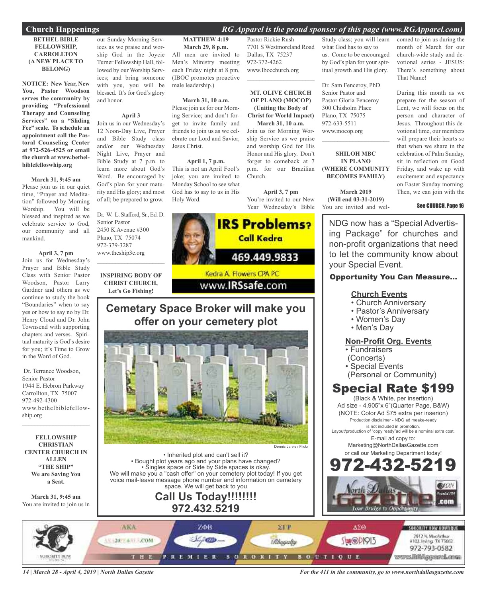## **Church Happenings** *RG Apparel is the proud sponser of this page (www.RGApparel.com)*

## **BETHEL BIBLE FELLOWSHIP, CARROLLTON (A NEW PLACE TO BELONG)**

**NOTICE: New Year, New You, Pastor Woodson serves the community by providing "Professional Therapy and Counseling Services" on a "Sliding Fee" scale. To schedule an appointment call the Pastoral Counseling Center at 972-526-4525 or email the church at www.bethelbiblefelloswhip.org**

## **March 31, 9:45 am**

Please join us in our quiet time, "Prayer and Meditation" followed by Morning Worship. You will be blessed and inspired as we celebrate service to God, our community and all mankind.

## **April 3, 7 pm**

Join us for Wednesday's Prayer and Bible Study Class with Senior Pastor Woodson, Pastor Larry Gardner and others as we continue to study the book "Boundaries" when to say yes or how to say no by Dr. Henry Cloud and Dr. John Townsend with supporting chapters and verses. Spiritual maturity is God's desire for you; it's Time to Grow in the Word of God.

Dr. Terrance Woodson, Senior Pastor 1944 E. Hebron Parkway Carrollton, TX 75007 972-492-4300 www.bethelbiblefellowship.org

 $\mathcal{L}_\text{max}$  , which is a set of the set of the set of the set of the set of the set of the set of the set of the set of the set of the set of the set of the set of the set of the set of the set of the set of the set of

**FELLOWSHIP CHRISTIAN CENTER CHURCH IN ALLEN "THE SHIP" We are Saving You a Seat.**

**March 31, 9:45 am** You are invited to join us in

our Sunday Morning Services as we praise and worship God in the Joycie Turner Fellowship Hall, followed by our Worship Services; and bring someone with you, you will be blessed. It's for God's glory and honor.

## **April 3**

Join us in our Wednesday's 12 Noon-Day Live, Prayer and Bible Study class and/or our Wednesday Night Live, Prayer and Bible Study at 7 p.m. to learn more about God's Word. Be encouraged by God's plan for your maturity and His glory; and most of all; be prepared to grow.

Dr. W. L. Stafford, Sr., Ed. D. Senior Pastor 2450 K Avenue #300 Plano, TX 75074 972-379-3287 www.theship3c.org  $\mathcal{L}=\mathcal{L}^{\mathcal{L}}$  , where  $\mathcal{L}^{\mathcal{L}}$  , we have the set of the set of the set of the set of the set of the set of the set of the set of the set of the set of the set of the set of the set of the set of the set of

**INSPIRING BODY OF CHRIST CHURCH, Let's Go Fishing!**

## **MATTHEW 4:19**

**March 29, 8 p.m.** All men are invited to Men's Ministry meeting each Friday night at 8 pm, (IBOC promotes proactive male leadership.)

## **March 31, 10 a.m.**

Please join us for our Morning Service; and don't forget to invite family and friends to join us as we celebrate our Lord and Savior, Jesus Christ.

## **April 1, 7 p.m.**

This is not an April Fool's joke; you are invited to Monday School to see what God has to say to us in His Holy Word.

Pastor Rickie Rush 7701 S Westmoreland Road Dallas, TX 75237 972-372-4262 www.Ibocchurch.org

 $\mathcal{L}_\text{max}$  , which is a set of the set of the set of the set of the set of the set of the set of the set of the set of the set of the set of the set of the set of the set of the set of the set of the set of the set of

## **MT. OLIVE CHURCH OF PLANO (MOCOP) (Uniting the Body of Christ for World Impact) March 31, 10 a.m.**

Join us for Morning Worship Service as we praise and worship God for His Honor and His glory. Don't forget to comeback at 7 p.m. for our Brazilian Church.

**April 3, 7 pm** You're invited to our New Year Wednesday's Bible



## **Cemetary Space Broker will make you offer on your cemetery plot**



• Inherited plot and can't sell it? • Bought plot years ago and your plans have changed? • Singles space or Side by Side spaces is okay. We will make you a "cash offer" on your cemetery plot today! If you get voice mail-leave message phone number and information on cemetery space. We will get back to you

## **Call Us Today!!!!!!!! 972.432.5219**

Study class; you will learn what God has to say to us. Come to be encouraged by God's plan for your spiritual growth and His glory.

Dr. Sam Fenceroy, PhD Senior Pastor and Pastor Gloria Fenceroy 300 Chisholm Place Plano, TX 75075 972-633-5511 www.mocop.org

## **SHILOH MBC IN PLANO (WHERE COMMUNITY BECOMES FAMILY)**

 $\mathcal{L}=\mathcal{L}^{\mathcal{L}}$  , where  $\mathcal{L}^{\mathcal{L}}$  , we have the set of the set of the set of the set of the set of the set of the set of the set of the set of the set of the set of the set of the set of the set of the set of

**March 2019 (Will end 03-31-2019)** You are invited and welcomed to join us during the month of March for our church-wide study and devotional series - JESUS: There's something about That Name!

During this month as we prepare for the season of Lent, we will focus on the person and character of Jesus. Throughout this devotional time, our members will prepare their hearts so that when we share in the celebration of Palm Sunday, sit in reflection on Good Friday, and wake up with excitement and expectancy on Easter Sunday morning. Then, we can join with the

## See CHURCH, Page 16

NDG now has a "Special Advertising Package" for churches and non-profit organizations that need to let the community know about your Special Event.

## Opportunity You Can Measure...

## **Church Events**

- Church Anniversary
- Pastor's Anniversary
- Women's Day
- Men's Day

## **Non-Profit Org. Events**

- Fundraisers
- (Concerts)
- Special Events
- (Personal or Community)

## Special Rate \$199

(Black & White, per insertion) Ad size - 4.905"x 6"(Quarter Page, B&W) (NOTE: Color Ad \$75 extra per inserion) Production disclaimer - NDG ad meake-ready is not included in promotion.

Layout/production of "copy ready"ad will be a nominal extra cost. E-mail ad copy to:

> Marketing@NorthDallasGazette.com or call our Marketing Department today!





*14 | March 28 - April 4, 2019 | North Dallas Gazette*

*For the 411 in the community, go to www.northdallasgazette.com*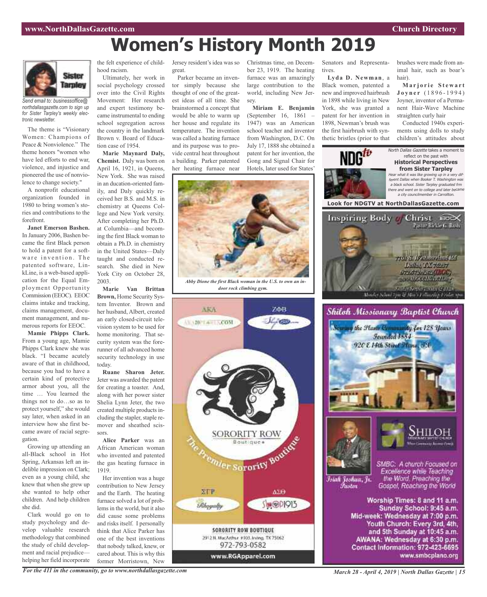Senators and Representa-

**Lyda D. Newman**, a Black women, patented a new and improved hairbrush in 1898 while living in New York, she was granted a patent for her invention in 1898, Newman's brush was the first hairbrush with syn-

tives.

# **Women's History Month 2019**



*Send email to: businessoffice@ northdallasgazette.com to sign up for Sister Tarpley's weekly electronic newsletter.*

The theme is "Visionary Women: Champions of Peace & Nonviolence." The theme honors "women who have led efforts to end war, violence, and injustice and pioneered the use of nonviolence to change society."

A nonprofit educational organization founded in 1980 to bring women's stories and contributions to the forefront.

**Janet Emerson Bashen.** In January 2006, Bashen became the first Black person to hold a patent for a software invention. The patented software, LinkLine, is a web-based application for the Equal Employment Opportunity Commission (EEOC). EEOC claims intake and tracking, claims management, document management, and numerous reports for EEOC.

**Mamie Phipps Clark.** From a young age, Mamie Phipps Clark knew she was black. "I became acutely aware of that in childhood, because you had to have a certain kind of protective armor about you, all the time … You learned the things not to do…so as to protect yourself," she would say later, when asked in an interview how she first became aware of racial segregation.

Growing up attending an all-Black school in Hot Spring, Arkansas left an indelible impression on Clark; even as a young child, she knew that when she grew up she wanted to help other children. And help children she did.

Clark would go on to study psychology and develop valuable research methodology that combined the study of child development and racial prejudice helping her field incorporate hood racism.

Ultimately, her work in social psychology crossed over into the Civil Rights Movement: Her research and expert testimony became instrumental to ending school segregation across the country in the landmark Brown v. Board of Education case of 1954.

**Marie Maynard Daly, Chemist.** Daly was born on April 16, 1921, in Queens, New York. She was raised in an ducation-oriented family, and Daly quickly received her B.S. and M.S. in chemistry at Queens College and New York versity. After completing her Ph.D. at Columbia—and becoming the first Black woman to obtain a Ph.D. in chemistry in the United States—Daly taught and conducted research. She died in New York City on October 28, 2003.

**Marie Van Brittan Brown,** Home Security System Inventor. Brown and her husband, Albert, created an early closed-circuit television system to be used for home monitoring. That security system was the forerunner of all advanced home security technology in use today.

**Ruane Sharon Jeter.** Jeter was awarded the patent for creating a toaster. And, along with her power sister Shelia Lynn Jeter, the two created multiple products including the stapler, staple remover and sheathed scissors.

**Alice Parker** was an African American woman who invented and patented the gas heating furnace in 1919.

Her invention was a huge contribution to New Jersey and the Earth. The heating furnace solved a lot of problems in the world, but it also did cause some problems and risks itself. I personally think that Alice Parker has one of the best inventions that nobody talked, knew, or cared about. This is why this former Morristown, New

the felt experience of child-Jersey resident's idea was so great.

> Parker became an inventor simply because she thought of one of the greatest ideas of all time. She brainstormed a concept that would be able to warm up her house and regulate its temperature. The invention was called a heating furnace and its purpose was to provide central heat throughout a building. Parker patented her heating furnace near

Christmas time, on December 23, 1919. The heating furnace was an amazingly large contribution to the world, including New Jersey.

**Miriam E. Benjamin** (September 16, 1861 – 1947) was an American school teacher and inventor from Washington, D.C. On July 17, 1888 she obtained a patent for her invention, the Gong and Signal Chair for Hotels, later used for States'



*Abby Dione the first Black woman in the U.S. to own an indoor rock climbing gym.*





*For the 411 in the community, go to www.northdallasgazette.com*

*March 28 - April 4, 2019 | North Dallas Gazette | 15*

brushes were made from animal hair, such as boar's hair).

**M a r j o r i e S t e w a r t J o y n e r** ( 1 8 9 6 - 1 9 9 4 ) Joyner, inventor of a Permanent Hair-Wave Machine straighten curly hair

Conducted 1940s experiments using dolls to study children's attitudes about